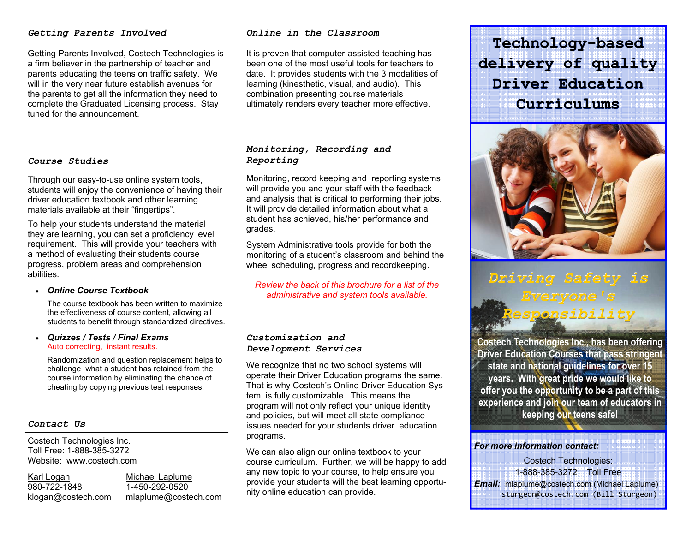#### *Getting Parents Involved*

Getting Parents Involved, Costech Technologies is a firm believer in the partnership of teacher and parents educating the teens on traffic safety. We will in the very near future establish avenues for the parents to get all the information they need to complete the Graduated Licensing process. Stay tuned for the announcement.

#### *Course Studies*

Through our easy-to-use online system tools, students will enjoy the convenience of having their driver education textbook and other learning materials available at their "fingertips".

To help your students understand the material they are learning, you can set a proficiency level requirement. This will provide your teachers with a method of evaluating their students course progress, problem areas and comprehension abilities.

#### *Online Course Textbook*

The course textbook has been written to maximize the effectiveness of course content, allowing all students to benefit through standardized directives.

#### . *Quizzes / Tests / Final Exams* Auto correcting, instant results.

Randomization and question replacement helps to challenge what a student has retained from the course information by eliminating the chance of cheating by copying previous test responses.

#### *Contact Us*

Costech Technologies Inc. Toll Free: 1-888-385-3272 Website: www.costech.com

Karl Logan Michael Laplume 980-722-1848 1-450-292-0520

klogan@costech.com mlaplume@costech.com

#### *Online in the Classroom*

It is proven that computer-assisted teaching has been one of the most useful tools for teachers to date. It provides students with the 3 modalities of learning (kinesthetic, visual, and audio). This combination presenting course materials ultimately renders every teacher more effective.

### *Monitoring, Recording and Reporting*

Monitoring, record keeping and reporting systems will provide you and your staff with the feedback and analysis that is critical to performing their jobs. It will provide detailed information about what a student has achieved, his/her performance and grades.

System Administrative tools provide for both the monitoring of a student's classroom and behind the wheel scheduling, progress and recordkeeping.

*Review the back of this brochure for a list of the administrative and system tools available.* 

#### *Customization and Development Services*

We recognize that no two school systems will operate their Driver Education programs the same. That is why Costech's Online Driver Education System, is fully customizable. This means the program will not only reflect your unique identity and policies, but will meet all state compliance issues needed for your students driver education programs.

We can also align our online textbook to your course curriculum. Further, we will be happy to add any new topic to your course, to help ensure you provide your students will the best learning opportunity online education can provide.

**Technology -based delivery of quality Driver EducationCurriculums**



# *Driving Safety is Responsibility*

**Costech Technologies Inc., has been offering Driver Education Courses that pass stringent state and national guidelines for over 15 years. With great pride we would like to offer you the opportunity to be a part of this experience and join our team of educators in keeping our teens safe!** 

#### *For more information contact:*

Costech Technologies: 1-888-385-3272 Toll Free *Email:* mlaplume@costech.com (Michael Laplume) sturgeon@costech.com (Bill Sturgeon)